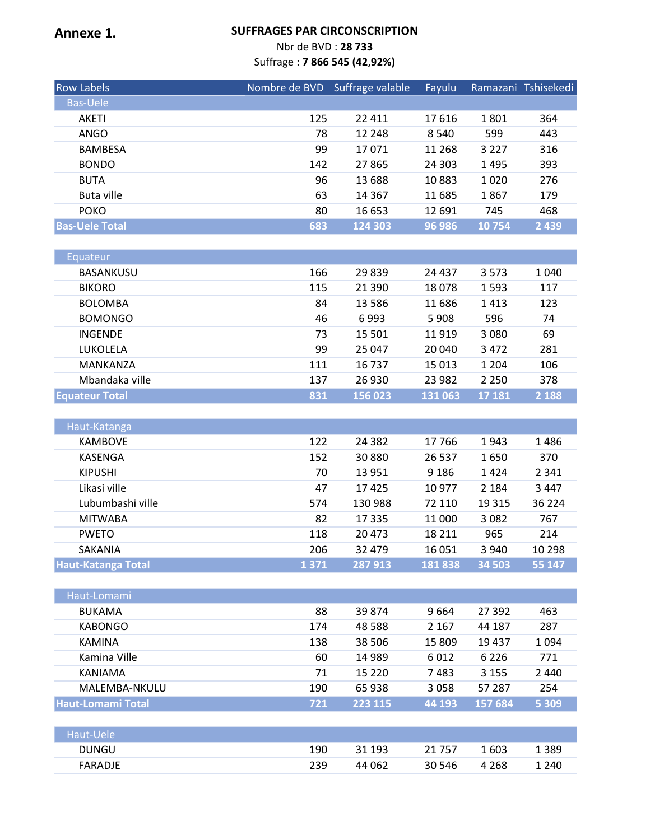#### **Annexe 1. SUFFRAGES PAR CIRCONSCRIPTION**

Nbr de BVD : **28 733**

Suffrage : **7 866 545 (42,92%)**

| <b>Row Labels</b>     | Nombre de BVD | Suffrage valable | Fayulu  |         | Ramazani Tshisekedi |
|-----------------------|---------------|------------------|---------|---------|---------------------|
| <b>Bas-Uele</b>       |               |                  |         |         |                     |
| AKETI                 | 125           | 22 4 11          | 17616   | 1801    | 364                 |
| ANGO                  | 78            | 12 248           | 8 5 4 0 | 599     | 443                 |
| <b>BAMBESA</b>        | 99            | 17071            | 11 268  | 3 2 2 7 | 316                 |
| <b>BONDO</b>          | 142           | 27 865           | 24 30 3 | 1495    | 393                 |
| <b>BUTA</b>           | 96            | 13 688           | 10883   | 1020    | 276                 |
| Buta ville            | 63            | 14 3 6 7         | 11 685  | 1867    | 179                 |
| <b>POKO</b>           | 80            | 16 653           | 12 691  | 745     | 468                 |
| <b>Bas-Uele Total</b> | 683           | 124 303          | 96 986  | 10754   | 2 4 3 9             |

| Equateur              |     |          |          |         |         |
|-----------------------|-----|----------|----------|---------|---------|
| BASANKUSU             | 166 | 29839    | 24 4 3 7 | 3573    | 1 0 4 0 |
| <b>BIKORO</b>         | 115 | 21 3 9 0 | 18078    | 1593    | 117     |
| <b>BOLOMBA</b>        | 84  | 13 5 8 6 | 11 686   | 1413    | 123     |
| <b>BOMONGO</b>        | 46  | 6993     | 5908     | 596     | 74      |
| <b>INGENDE</b>        | 73  | 15 501   | 11919    | 3 0 8 0 | 69      |
| LUKOLELA              | 99  | 25 047   | 20 040   | 3472    | 281     |
| MANKANZA              | 111 | 16 737   | 15 0 13  | 1 2 0 4 | 106     |
| Mbandaka ville        | 137 | 26 930   | 23 982   | 2 2 5 0 | 378     |
| <b>Equateur Total</b> | 831 | 156 023  | 131 063  | 17 181  | 2 1 8 8 |

| Haut-Katanga              |      |          |         |         |          |
|---------------------------|------|----------|---------|---------|----------|
| <b>KAMBOVE</b>            | 122  | 24 3 8 2 | 17 766  | 1943    | 1486     |
| KASENGA                   | 152  | 30880    | 26 537  | 1650    | 370      |
| <b>KIPUSHI</b>            | 70   | 13 9 51  | 9 1 8 6 | 1424    | 2 3 4 1  |
| Likasi ville              | 47   | 17425    | 10 977  | 2 1 8 4 | 3 4 4 7  |
| Lubumbashi ville          | 574  | 130 988  | 72 110  | 19 3 15 | 36 2 2 4 |
| <b>MITWABA</b>            | 82   | 17 3 35  | 11 000  | 3 0 8 2 | 767      |
| <b>PWETO</b>              | 118  | 20 473   | 18 2 11 | 965     | 214      |
| <b>SAKANIA</b>            | 206  | 32 479   | 16 051  | 3 9 4 0 | 10 298   |
| <b>Haut-Katanga Total</b> | 1371 | 287913   | 181838  | 34 503  | 55 147   |

| Haut-Lomami              |     |          |         |         |         |
|--------------------------|-----|----------|---------|---------|---------|
| <b>BUKAMA</b>            | 88  | 39 874   | 9664    | 27 392  | 463     |
| <b>KABONGO</b>           | 174 | 48 5 88  | 2 1 6 7 | 44 187  | 287     |
| <b>KAMINA</b>            | 138 | 38 506   | 15 809  | 19437   | 1094    |
| Kamina Ville             | 60  | 14 9 89  | 6012    | 6 2 2 6 | 771     |
| KANIAMA                  | 71  | 15 2 2 0 | 7483    | 3 1 5 5 | 2 4 4 0 |
| MALEMBA-NKULU            | 190 | 65938    | 3058    | 57 287  | 254     |
| <b>Haut-Lomami Total</b> | 721 | 223 115  | 44 193  | 157 684 | 5 3 0 9 |
|                          |     |          |         |         |         |
| Haut-Uele                |     |          |         |         |         |

DUNGU 190 31 193 21 757 1 603 1 389 FARADJE 239 44 062 30 546 4 268 1 240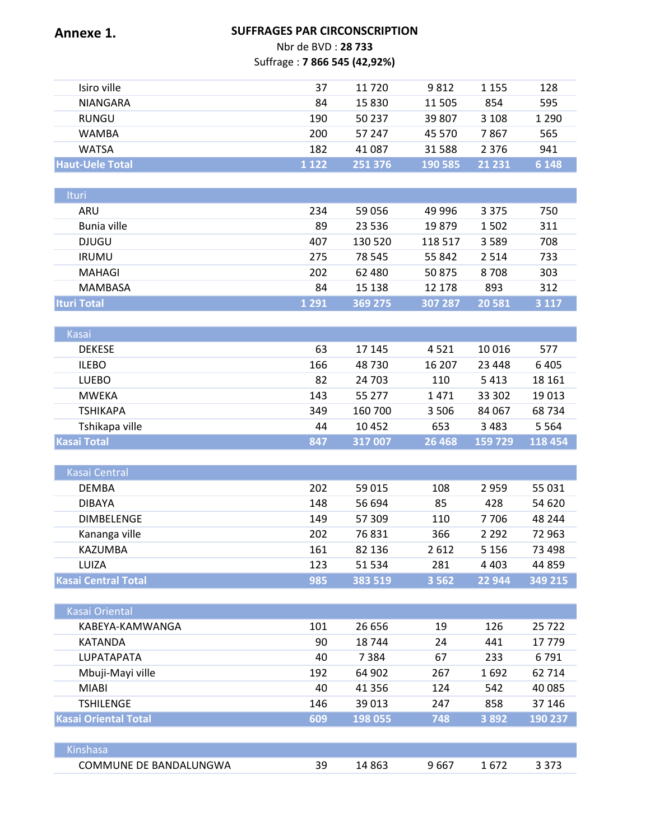# **Annexe 1. SUFFRAGES PAR CIRCONSCRIPTION** Nbr de BVD : **28 733** Suffrage : **7 866 545 (42,92%)** Isiro ville 37 11 720 9 812 1 155 128

| <b>ISILO VILLE</b>     | 31      | 11 7 ZU | 981Z     | ככד ד   | 128     |
|------------------------|---------|---------|----------|---------|---------|
| <b>NIANGARA</b>        | 84      | 15 830  | 11 505   | 854     | 595     |
| RUNGU                  | 190     | 50 237  | 39 807   | 3 1 0 8 | 1 2 9 0 |
| WAMBA                  | 200     | 57 247  | 45 570   | 7 867   | 565     |
| <b>WATSA</b>           | 182     | 41 087  | 31 5 8 8 | 2 3 7 6 | 941     |
| <b>Haut-Uele Total</b> | 1 1 2 2 | 251376  | 190 585  | 21 231  | 6 1 4 8 |

| <b>Ituri</b>       |         |         |         |         |         |
|--------------------|---------|---------|---------|---------|---------|
| ARU                | 234     | 59 056  | 49 996  | 3 3 7 5 | 750     |
| Bunia ville        | 89      | 23 5 36 | 19879   | 1502    | 311     |
| <b>DJUGU</b>       | 407     | 130 520 | 118 517 | 3589    | 708     |
| <b>IRUMU</b>       | 275     | 78 545  | 55 842  | 2 5 1 4 | 733     |
| MAHAGI             | 202     | 62 480  | 50 875  | 8708    | 303     |
| MAMBASA            | 84      | 15 138  | 12 178  | 893     | 312     |
| <b>Ituri Total</b> | 1 2 9 1 | 369 275 | 307 287 | 20 5 81 | 3 1 1 7 |

| <b>Kasai</b>       |     |         |         |          |         |
|--------------------|-----|---------|---------|----------|---------|
| <b>DEKESE</b>      | 63  | 17 145  | 4521    | 10 0 16  | 577     |
| <b>ILEBO</b>       | 166 | 48 730  | 16 207  | 23 4 4 8 | 6405    |
| <b>LUEBO</b>       | 82  | 24 703  | 110     | 5413     | 18 16 1 |
| MWEKA              | 143 | 55 277  | 1471    | 33 302   | 19013   |
| <b>TSHIKAPA</b>    | 349 | 160 700 | 3 5 0 6 | 84 067   | 68 734  |
| Tshikapa ville     | 44  | 10452   | 653     | 3483     | 5 5 6 4 |
| <b>Kasai Total</b> | 847 | 317 007 | 26 4 68 | 159 729  | 118 454 |

| Kasai Central              |     |         |         |         |         |
|----------------------------|-----|---------|---------|---------|---------|
| <b>DEMBA</b>               | 202 | 59 015  | 108     | 2959    | 55 031  |
| <b>DIBAYA</b>              | 148 | 56 694  | 85      | 428     | 54 620  |
| <b>DIMBELENGE</b>          | 149 | 57 309  | 110     | 7706    | 48 244  |
| Kananga ville              | 202 | 76831   | 366     | 2 2 9 2 | 72 963  |
| KAZUMBA                    | 161 | 82 136  | 2612    | 5 1 5 6 | 73 498  |
| LUIZA                      | 123 | 51 534  | 281     | 4 4 0 3 | 44 859  |
| <b>Kasai Central Total</b> | 985 | 383 519 | 3 5 6 2 | 22 944  | 349 215 |

| <b>Kasai Oriental</b>       |     |          |      |         |         |
|-----------------------------|-----|----------|------|---------|---------|
| KABEYA-KAMWANGA             | 101 | 26 656   | 19   | 126     | 25722   |
| KATANDA                     | 90  | 18744    | 24   | 441     | 17779   |
| <b>LUPATAPATA</b>           | 40  | 7384     | 67   | 233     | 6791    |
| Mbuji-Mayi ville            | 192 | 64 902   | 267  | 1692    | 62 7 14 |
| <b>MIABI</b>                | 40  | 41 3 5 6 | 124  | 542     | 40 085  |
| <b>TSHILENGE</b>            | 146 | 39 013   | 247  | 858     | 37 146  |
| <b>Kasai Oriental Total</b> | 609 | 198 055  | 748  | 3 8 9 2 | 190 237 |
|                             |     |          |      |         |         |
| <b>Kinshasa</b>             |     |          |      |         |         |
| COMMUNE DE BANDALUNGWA      | 39  | 14863    | 9667 | 1672    | 3 3 7 3 |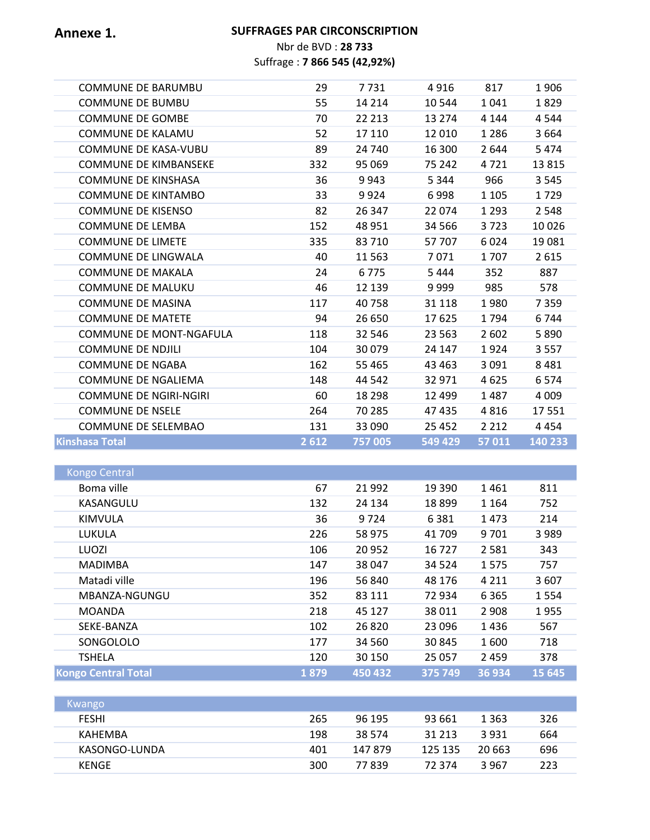## **Annexe 1. SUFFRAGES PAR CIRCONSCRIPTION**

Nbr de BVD : **28 733** Suffrage : **7 866 545 (42,92%)**

| <b>COMMUNE DE BARUMBU</b>      | 29   | 7731    | 4916    | 817     | 1906     |
|--------------------------------|------|---------|---------|---------|----------|
| <b>COMMUNE DE BUMBU</b>        | 55   | 14 2 14 | 10 544  | 1041    | 1829     |
| <b>COMMUNE DE GOMBE</b>        | 70   | 22 213  | 13 274  | 4 1 4 4 | 4544     |
| <b>COMMUNE DE KALAMU</b>       | 52   | 17 110  | 12 010  | 1 2 8 6 | 3 6 6 4  |
| <b>COMMUNE DE KASA-VUBU</b>    | 89   | 24 740  | 16 300  | 2644    | 5474     |
| <b>COMMUNE DE KIMBANSEKE</b>   | 332  | 95 069  | 75 242  | 4721    | 13815    |
| <b>COMMUNE DE KINSHASA</b>     | 36   | 9943    | 5 3 4 4 | 966     | 3 5 4 5  |
| <b>COMMUNE DE KINTAMBO</b>     | 33   | 9924    | 6998    | 1 1 0 5 | 1729     |
| <b>COMMUNE DE KISENSO</b>      | 82   | 26 347  | 22 074  | 1 2 9 3 | 2 5 4 8  |
| <b>COMMUNE DE LEMBA</b>        | 152  | 48 9 51 | 34 5 66 | 3723    | 10026    |
| <b>COMMUNE DE LIMETE</b>       | 335  | 83 710  | 57 707  | 6024    | 19 0 8 1 |
| COMMUNE DE LINGWALA            | 40   | 11 5 63 | 7071    | 1707    | 2615     |
| <b>COMMUNE DE MAKALA</b>       | 24   | 6775    | 5 4 4 4 | 352     | 887      |
| <b>COMMUNE DE MALUKU</b>       | 46   | 12 139  | 9999    | 985     | 578      |
| <b>COMMUNE DE MASINA</b>       | 117  | 40758   | 31 1 18 | 1980    | 7359     |
| <b>COMMUNE DE MATETE</b>       | 94   | 26 650  | 17625   | 1794    | 6744     |
| <b>COMMUNE DE MONT-NGAFULA</b> | 118  | 32 546  | 23 5 63 | 2 6 0 2 | 5890     |
| <b>COMMUNE DE NDJILI</b>       | 104  | 30079   | 24 147  | 1924    | 3557     |
| <b>COMMUNE DE NGABA</b>        | 162  | 55 4 65 | 43 4 63 | 3 0 9 1 | 8 4 8 1  |
| <b>COMMUNE DE NGALIEMA</b>     | 148  | 44 542  | 32 971  | 4625    | 6574     |
| <b>COMMUNE DE NGIRI-NGIRI</b>  | 60   | 18 2 98 | 12 499  | 1487    | 4 0 0 9  |
| <b>COMMUNE DE NSELE</b>        | 264  | 70 285  | 47 435  | 4816    | 17551    |
| COMMUNE DE SELEMBAO            | 131  | 33 090  | 25 4 52 | 2 2 1 2 | 4 4 5 4  |
| <b>Kinshasa Total</b>          | 2612 | 757 005 | 549 429 | 57 011  | 140 233  |
|                                |      |         |         |         |          |
| <b>Kongo Central</b>           |      |         |         |         |          |
| Boma ville                     | 67   | 21 9 92 | 19 390  | 1461    | 811      |
| KASANGULU                      | 132  | 24 134  | 18 8 99 | 1 1 6 4 | 752      |

| KASANGULU                  | 132  | 24 134  | 18899   | 1 1 6 4 | 752     |
|----------------------------|------|---------|---------|---------|---------|
| KIMVULA                    | 36   | 9724    | 6 3 8 1 | 1473    | 214     |
| LUKULA                     | 226  | 58 975  | 41709   | 9701    | 3 9 8 9 |
| LUOZI                      | 106  | 20 952  | 16727   | 2581    | 343     |
| <b>MADIMBA</b>             | 147  | 38 047  | 34 5 24 | 1575    | 757     |
| Matadi ville               | 196  | 56 840  | 48 176  | 4 2 1 1 | 3607    |
| MBANZA-NGUNGU              | 352  | 83 111  | 72 934  | 6 3 6 5 | 1554    |
| <b>MOANDA</b>              | 218  | 45 127  | 38 011  | 2 9 0 8 | 1955    |
| SEKE-BANZA                 | 102  | 26 8 20 | 23 096  | 1436    | 567     |
| SONGOLOLO                  | 177  | 34 560  | 30 845  | 1600    | 718     |
| <b>TSHELA</b>              | 120  | 30 150  | 25 057  | 2459    | 378     |
| <b>Kongo Central Total</b> | 1879 | 450 432 | 375 749 | 36 934  | 15 645  |

| Kwango        |     |         |         |         |     |
|---------------|-----|---------|---------|---------|-----|
| <b>FESHI</b>  | 265 | 96 195  | 93 661  | 1 3 6 3 | 326 |
| KAHEMBA       | 198 | 38 5 74 | 31 213  | 3931    | 664 |
| KASONGO-LUNDA | 401 | 147 879 | 125 135 | 20.663  | 696 |
| <b>KENGE</b>  | 300 | 77839   | 72374   | 3967    | 223 |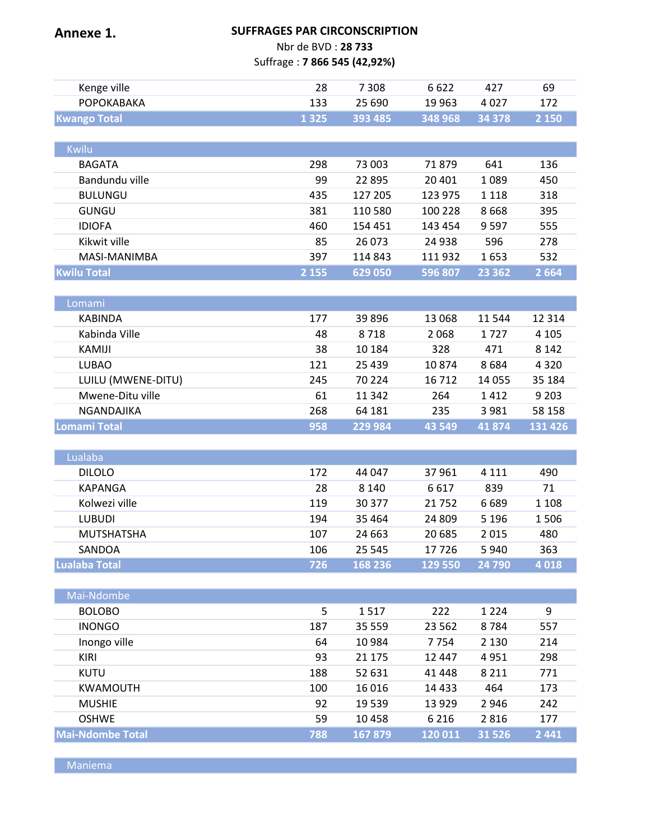| <b>SUFFRAGES PAR CIRCONSCRIPTION</b><br>Annexe 1. |                              |         |         |          |         |
|---------------------------------------------------|------------------------------|---------|---------|----------|---------|
| Nbr de BVD: 28 733                                |                              |         |         |          |         |
|                                                   | Suffrage: 7 866 545 (42,92%) |         |         |          |         |
| Kenge ville                                       | 28                           | 7 3 0 8 | 6622    | 427      | 69      |
| <b>РОРОКАВАКА</b>                                 | 133                          | 25 690  | 19 9 63 | 4027     | 172     |
| <b>Kwango Total</b>                               | 1 3 2 5                      | 393 485 | 348 968 | 34 378   | 2 1 5 0 |
|                                                   |                              |         |         |          |         |
| Kwilu                                             |                              |         |         |          |         |
| <b>BAGATA</b>                                     | 298                          | 73 003  | 71879   | 641      | 136     |
| Bandundu ville                                    | 99                           | 22 8 95 | 20 401  | 1089     | 450     |
| <b>BULUNGU</b>                                    | 435                          | 127 205 | 123 975 | 1 1 1 8  | 318     |
| <b>GUNGU</b>                                      | 381                          | 110 580 | 100 228 | 8668     | 395     |
| <b>IDIOFA</b>                                     | 460                          | 154 451 | 143 454 | 9597     | 555     |
| Kikwit ville                                      | 85                           | 26 073  | 24 938  | 596      | 278     |
| MASI-MANIMBA                                      | 397                          | 114 843 | 111 932 | 1653     | 532     |
| <b>Kwilu Total</b>                                | 2 1 5 5                      | 629 050 | 596 807 | 23 3 6 2 | 2 6 6 4 |
|                                                   |                              |         |         |          |         |
| Lomami                                            |                              |         |         |          |         |
| <b>KABINDA</b>                                    | 177                          | 39896   | 13 068  | 11 544   | 12 3 14 |
| Kabinda Ville                                     | 48                           | 8718    | 2068    | 1727     | 4 1 0 5 |
| KAMIJI                                            | 38                           | 10 184  | 328     | 471      | 8 1 4 2 |
| <b>LUBAO</b>                                      | 121                          | 25 4 39 | 10874   | 8684     | 4 3 2 0 |
| LUILU (MWENE-DITU)                                | 245                          | 70 224  | 16712   | 14 0 55  | 35 184  |
| Mwene-Ditu ville                                  | 61                           | 11 342  | 264     | 1412     | 9 2 0 3 |
| NGANDAJIKA                                        | 268                          | 64 181  | 235     | 3981     | 58 158  |
| <b>Lomami Total</b>                               | 958                          | 229 984 | 43 5 49 | 41874    | 131 426 |
|                                                   |                              |         |         |          |         |
| Lualaba                                           |                              |         |         |          |         |
| <b>DILOLO</b>                                     | 172                          | 44 047  | 37961   | 4 1 1 1  | 490     |
| <b>KAPANGA</b>                                    | 28                           | 8 1 4 0 | 6617    | 839      | 71      |
| Kolwezi ville                                     | 119                          | 30 377  | 21752   | 6689     | 1 1 0 8 |
| <b>LUBUDI</b>                                     | 194                          | 35 4 64 | 24 809  | 5 1 9 6  | 1506    |
| <b>MUTSHATSHA</b>                                 | 107                          | 24 663  | 20 685  | 2015     | 480     |
| SANDOA                                            | 106                          | 25 545  | 17726   | 5940     | 363     |
| <b>Lualaba Total</b>                              | 726                          | 168 236 | 129 550 | 24 790   | 4018    |
|                                                   |                              |         |         |          |         |
| Mai-Ndombe                                        |                              |         |         |          |         |
| <b>BOLOBO</b>                                     | 5                            | 1517    | 222     | 1 2 2 4  | 9       |
| <b>INONGO</b>                                     | 187                          | 35 559  | 23 5 62 | 8784     | 557     |
| Inongo ville                                      | 64                           | 10984   | 7754    | 2 1 3 0  | 214     |
| <b>KIRI</b>                                       | 93                           | 21 175  | 12 447  | 4951     | 298     |
| <b>KUTU</b>                                       | 188                          | 52 631  | 41 4 48 | 8 2 1 1  | 771     |
| <b>KWAMOUTH</b>                                   | 100                          | 16 0 16 | 14 4 33 | 464      | 173     |
| <b>MUSHIE</b>                                     | 92                           | 19 5 39 | 13 9 29 | 2946     | 242     |
| <b>OSHWE</b>                                      | 59                           | 10 4 58 | 6 2 1 6 | 2816     | 177     |
| <b>Mai-Ndombe Total</b>                           | 788                          | 167879  | 120 011 | 31 5 26  | 2 4 4 1 |
|                                                   |                              |         |         |          |         |

**Maniema**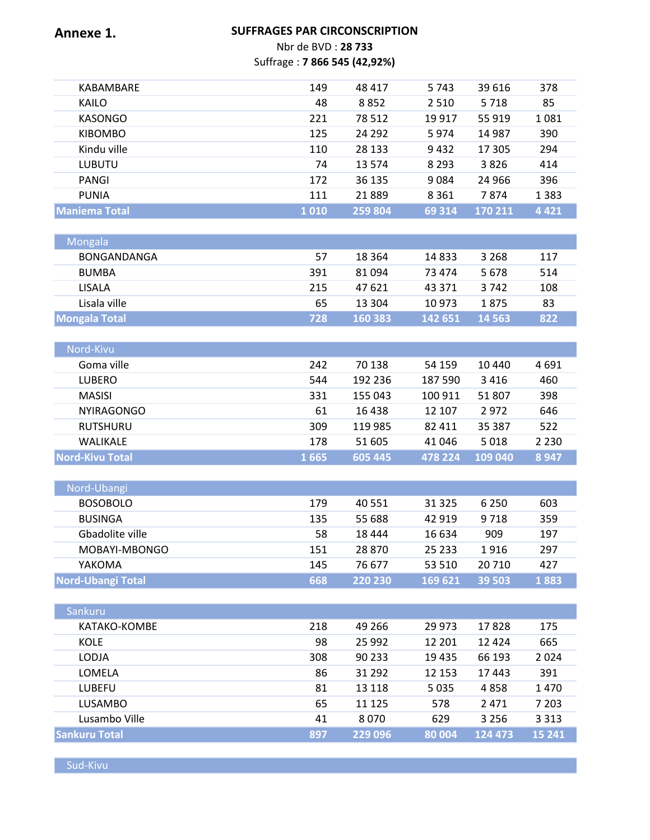### **Annexe 1. SUFFRAGES PAR CIRCONSCRIPTION** Nbr de BVD : **28 733** Suffrage : **7 866 545 (42,92%)**

| KABAMBARE      | 149  | 48 417   | 5 7 4 3 | 39 616  | 378     |
|----------------|------|----------|---------|---------|---------|
| KAILO          | 48   | 8852     | 2 5 1 0 | 5 7 1 8 | 85      |
| KASONGO        | 221  | 78 512   | 19 9 17 | 55 919  | 1081    |
| <b>KIBOMBO</b> | 125  | 24 2 9 2 | 5974    | 14 987  | 390     |
| Kindu ville    | 110  | 28 133   | 9432    | 17 305  | 294     |
| <b>LUBUTU</b>  | 74   | 13 5 74  | 8 2 9 3 | 3826    | 414     |
| PANGI          | 172  | 36 135   | 9084    | 24 9 66 | 396     |
| <b>PUNIA</b>   | 111  | 21889    | 8 3 6 1 | 7874    | 1 3 8 3 |
| lManiema Total | 1010 | 259 804  | 69 314  | 170 211 | 4421    |
|                |      |          |         |         |         |

| Mongala              |     |         |         |         |     |
|----------------------|-----|---------|---------|---------|-----|
| BONGANDANGA          | 57  | 18 3 64 | 14 8 33 | 3 2 6 8 | 117 |
| <b>BUMBA</b>         | 391 | 81 094  | 73 474  | 5678    | 514 |
| LISALA.              | 215 | 47 621  | 43 371  | 3.742   | 108 |
| Lisala ville         | 65  | 13 304  | 10 973  | 1875    | 83  |
| <b>Mongala Total</b> | 728 | 160383  | 142 651 | 14 5 63 | 822 |

| Nord-Kivu              |      |         |         |         |         |
|------------------------|------|---------|---------|---------|---------|
| Goma ville             | 242  | 70 138  | 54 159  | 10 440  | 4691    |
| LUBERO                 | 544  | 192 236 | 187 590 | 3416    | 460     |
| MASISI                 | 331  | 155 043 | 100 911 | 51 807  | 398     |
| <b>NYIRAGONGO</b>      | 61   | 16438   | 12 107  | 2972    | 646     |
| <b>RUTSHURU</b>        | 309  | 119 985 | 82 411  | 35 387  | 522     |
| WALIKALE               | 178  | 51 605  | 41 046  | 5018    | 2 2 3 0 |
| <b>Nord-Kivu Total</b> | 1665 | 605 445 | 478 224 | 109 040 | 8947    |

| Nord-Ubangi              |     |         |          |         |      |
|--------------------------|-----|---------|----------|---------|------|
| <b>BOSOBOLO</b>          | 179 | 40 5 51 | 31 3 25  | 6 2 5 0 | 603  |
| <b>BUSINGA</b>           | 135 | 55 688  | 42 919   | 9 7 1 8 | 359  |
| Gbadolite ville          | 58  | 18 444  | 16 634   | 909     | 197  |
| MOBAYI-MBONGO            | 151 | 28 870  | 25 2 3 3 | 1916    | 297  |
| YAKOMA                   | 145 | 76 677  | 53 510   | 20 710  | 427  |
| <b>Nord-Ubangi Total</b> | 668 | 220 230 | 169 621  | 39 503  | 1883 |

| Sankuru              |     |         |        |         |         |
|----------------------|-----|---------|--------|---------|---------|
| KATAKO-KOMBE         | 218 | 49 266  | 29 973 | 17828   | 175     |
| KOLE                 | 98  | 25 9 92 | 12 201 | 12 4 24 | 665     |
| <b>LODJA</b>         | 308 | 90 233  | 19435  | 66 193  | 2024    |
| LOMELA               | 86  | 31 292  | 12 153 | 17443   | 391     |
| LUBEFU               | 81  | 13 118  | 5035   | 4858    | 1470    |
| <b>LUSAMBO</b>       | 65  | 11 1 25 | 578    | 2471    | 7 2 0 3 |
| Lusambo Ville        | 41  | 8070    | 629    | 3 2 5 6 | 3 3 1 3 |
| <b>Sankuru Total</b> | 897 | 229 096 | 80 004 | 124 473 | 15 24 1 |

Sud-Kivu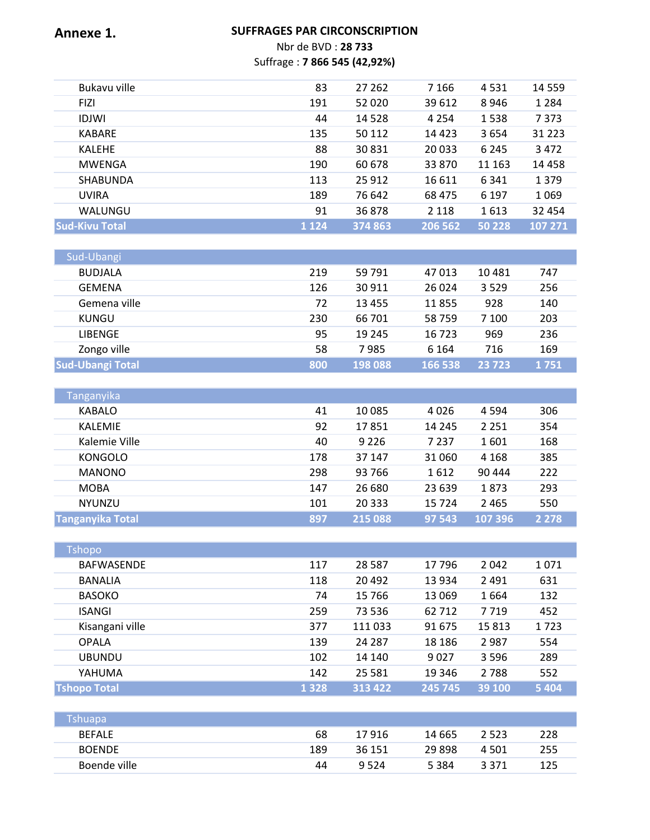### **Annexe 1. SUFFRAGES PAR CIRCONSCRIPTION** Nbr de BVD : **28 733** Suffrage : **7 866 545 (42,92%)**

| Bukavu ville          | 83      | 27 262  | 7 1 6 6 | 4531    | 14 5 5 9 |
|-----------------------|---------|---------|---------|---------|----------|
| <b>FIZI</b>           | 191     | 52 0 20 | 39 612  | 8946    | 1 2 8 4  |
| <b>IDJWI</b>          | 44      | 14 5 28 | 4 2 5 4 | 1538    | 7373     |
| <b>KABARE</b>         | 135     | 50 112  | 14 4 23 | 3654    | 31 2 2 3 |
| <b>KALEHE</b>         | 88      | 30 831  | 20 033  | 6 2 4 5 | 3472     |
| <b>MWENGA</b>         | 190     | 60 678  | 33 870  | 11 163  | 14 4 5 8 |
| <b>SHABUNDA</b>       | 113     | 25 9 12 | 16 611  | 6 3 4 1 | 1 3 7 9  |
| <b>UVIRA</b>          | 189     | 76 642  | 68 475  | 6 1 9 7 | 1069     |
| WALUNGU               | 91      | 36878   | 2 1 1 8 | 1613    | 32 4 54  |
| <b>Sud-Kivu Total</b> | 1 1 2 4 | 374 863 | 206 562 | 50 228  | 107 271  |

| Sud-Ubangi              |     |          |         |         |      |
|-------------------------|-----|----------|---------|---------|------|
| <b>BUDJALA</b>          | 219 | 59 791   | 47 013  | 10481   | 747  |
| <b>GEMENA</b>           | 126 | 30 911   | 26 0 24 | 3529    | 256  |
| Gemena ville            | 72  | 13 4 5 5 | 11855   | 928     | 140  |
| KUNGU                   | 230 | 66 701   | 58759   | 7 100   | 203  |
| <b>LIBENGE</b>          | 95  | 19 245   | 16 723  | 969     | 236  |
| Zongo ville             | 58  | 7985     | 6 1 6 4 | 716     | 169  |
| <b>Sud-Ubangi Total</b> | 800 | 198 088  | 166 538 | 23 7 23 | 1751 |

| <b>Tanganyika</b>       |     |          |         |         |         |
|-------------------------|-----|----------|---------|---------|---------|
| <b>KABALO</b>           | 41  | 10 0 85  | 4026    | 4 5 9 4 | 306     |
| <b>KALEMIE</b>          | 92  | 17851    | 14 245  | 2 2 5 1 | 354     |
| Kalemie Ville           | 40  | 9 2 2 6  | 7 2 3 7 | 1601    | 168     |
| <b>KONGOLO</b>          | 178 | 37 147   | 31 060  | 4 1 6 8 | 385     |
| <b>MANONO</b>           | 298 | 93 766   | 1612    | 90 444  | 222     |
| <b>MOBA</b>             | 147 | 26 680   | 23 639  | 1873    | 293     |
| <b>NYUNZU</b>           | 101 | 20 3 3 3 | 15 7 24 | 2465    | 550     |
| <b>Tanganyika Total</b> | 897 | 215 088  | 97 543  | 107 396 | 2 2 7 8 |

| <b>Tshopo</b>       |         |          |         |         |         |
|---------------------|---------|----------|---------|---------|---------|
| <b>BAFWASENDE</b>   | 117     | 28 5 8 7 | 17796   | 2042    | 1071    |
| <b>BANALIA</b>      | 118     | 20 4 9 2 | 13 9 34 | 2 4 9 1 | 631     |
| <b>BASOKO</b>       | 74      | 15 7 66  | 13 0 69 | 1664    | 132     |
| <b>ISANGI</b>       | 259     | 73 536   | 62 712  | 7719    | 452     |
| Kisangani ville     | 377     | 111 033  | 91 675  | 15813   | 1723    |
| <b>OPALA</b>        | 139     | 24 2 8 7 | 18 18 6 | 2987    | 554     |
| <b>UBUNDU</b>       | 102     | 14 140   | 9027    | 3 5 9 6 | 289     |
| YAHUMA              | 142     | 25 5 8 1 | 19 34 6 | 2 7 8 8 | 552     |
| <b>Tshopo Total</b> | 1 3 2 8 | 313 422  | 245 745 | 39 100  | 5 4 0 4 |

| Tshuapa       |     |        |          |         |     |
|---------------|-----|--------|----------|---------|-----|
| <b>BEFALE</b> | 68  | 17 916 | 14 665   | 2 5 2 3 | 228 |
| <b>BOENDE</b> | 189 | 36 151 | 29 8 9 8 | 4 501   | 255 |
| Boende ville  | 44  | 9.524  | 5 3 8 4  | 3 3 7 1 | 125 |